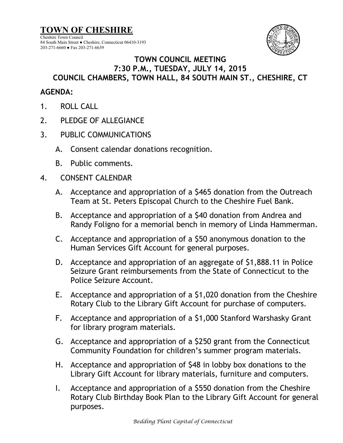**TOWN OF CHESHIRE** Cheshire Town Council



## 84 South Main Street ● Cheshire, Connecticut 06410-3193 203-271-6660 ● Fax 203-271-6639

## **TOWN COUNCIL MEETING 7:30 P.M., TUESDAY, JULY 14, 2015 COUNCIL CHAMBERS, TOWN HALL, 84 SOUTH MAIN ST., CHESHIRE, CT**

## **AGENDA:**

- 1. ROLL CALL
- 2. PLEDGE OF ALLEGIANCE
- 3. PUBLIC COMMUNICATIONS
	- A. Consent calendar donations recognition.
	- B. Public comments.
- 4. CONSENT CALENDAR
	- A. Acceptance and appropriation of a \$465 donation from the Outreach Team at St. Peters Episcopal Church to the Cheshire Fuel Bank.
	- B. Acceptance and appropriation of a \$40 donation from Andrea and Randy Foligno for a memorial bench in memory of Linda Hammerman.
	- C. Acceptance and appropriation of a \$50 anonymous donation to the Human Services Gift Account for general purposes.
	- D. Acceptance and appropriation of an aggregate of \$1,888.11 in Police Seizure Grant reimbursements from the State of Connecticut to the Police Seizure Account.
	- E. Acceptance and appropriation of a \$1,020 donation from the Cheshire Rotary Club to the Library Gift Account for purchase of computers.
	- F. Acceptance and appropriation of a \$1,000 Stanford Warshasky Grant for library program materials.
	- G. Acceptance and appropriation of a \$250 grant from the Connecticut Community Foundation for children's summer program materials.
	- H. Acceptance and appropriation of \$48 in lobby box donations to the Library Gift Account for library materials, furniture and computers.
	- I. Acceptance and appropriation of a \$550 donation from the Cheshire Rotary Club Birthday Book Plan to the Library Gift Account for general purposes.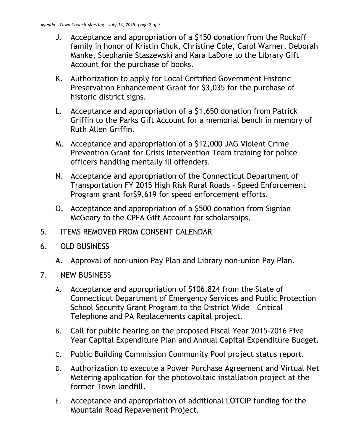- J. Acceptance and appropriation of a \$150 donation from the Rockoff family in honor of Kristin Chuk, Christine Cole, Carol Warner, Deborah Manke, Stephanie Staszewski and Kara LaDore to the Library Gift Account for the purchase of books.
- K. Authorization to apply for Local Certified Government Historic Preservation Enhancement Grant for \$3,035 for the purchase of historic district signs.
- L. Acceptance and appropriation of a \$1,650 donation from Patrick Griffin to the Parks Gift Account for a memorial bench in memory of Ruth Allen Griffin.
- M. Acceptance and appropriation of a \$12,000 JAG Violent Crime Prevention Grant for Crisis Intervention Team training for police officers handling mentally ill offenders.
- N. Acceptance and appropriation of the Connecticut Department of Transportation FY 2015 High Risk Rural Roads – Speed Enforcement Program grant for\$9,619 for speed enforcement efforts.
- O. Acceptance and appropriation of a \$500 donation from Signian McGeary to the CPFA Gift Account for scholarships.
- 5. ITEMS REMOVED FROM CONSENT CALENDAR
- 6. OLD BUSINESS
	- A. Approval of non-union Pay Plan and Library non-union Pay Plan.
- 7. NEW BUSINESS
	- A. Acceptance and appropriation of \$106,824 from the State of Connecticut Department of Emergency Services and Public Protection School Security Grant Program to the District Wide – Critical Telephone and PA Replacements capital project.
	- B. Call for public hearing on the proposed Fiscal Year 2015-2016 Five Year Capital Expenditure Plan and Annual Capital Expenditure Budget.
	- C. Public Building Commission Community Pool project status report.
	- D. Authorization to execute a Power Purchase Agreement and Virtual Net Metering application for the photovoltaic installation project at the former Town landfill.
	- E. Acceptance and appropriation of additional LOTCIP funding for the Mountain Road Repavement Project.